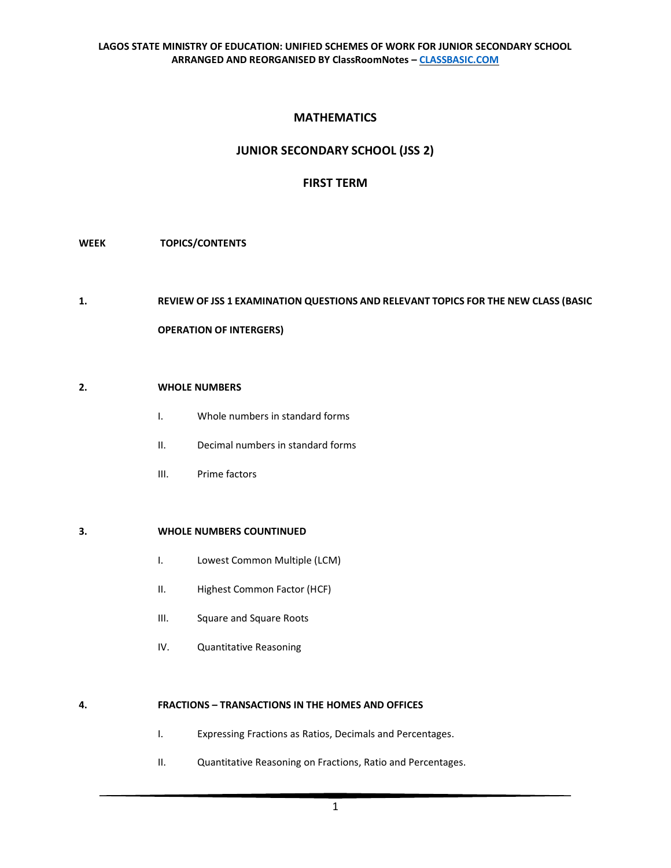# **MATHEMATICS**

# **JUNIOR SECONDARY SCHOOL (JSS 2)**

## **FIRST TERM**

#### **WEEK TOPICS/CONTENTS**

#### **1. REVIEW OF JSS 1 EXAMINATION QUESTIONS AND RELEVANT TOPICS FOR THE NEW CLASS (BASIC**

#### **OPERATION OF INTERGERS)**

#### **2. WHOLE NUMBERS**

- I. Whole numbers in standard forms
- II. Decimal numbers in standard forms
- III. Prime factors

### **3. WHOLE NUMBERS COUNTINUED**

- I. Lowest Common Multiple (LCM)
- II. Highest Common Factor (HCF)
- III. Square and Square Roots
- IV. Quantitative Reasoning

### **4. FRACTIONS – TRANSACTIONS IN THE HOMES AND OFFICES**

- I. Expressing Fractions as Ratios, Decimals and Percentages.
- II. Quantitative Reasoning on Fractions, Ratio and Percentages.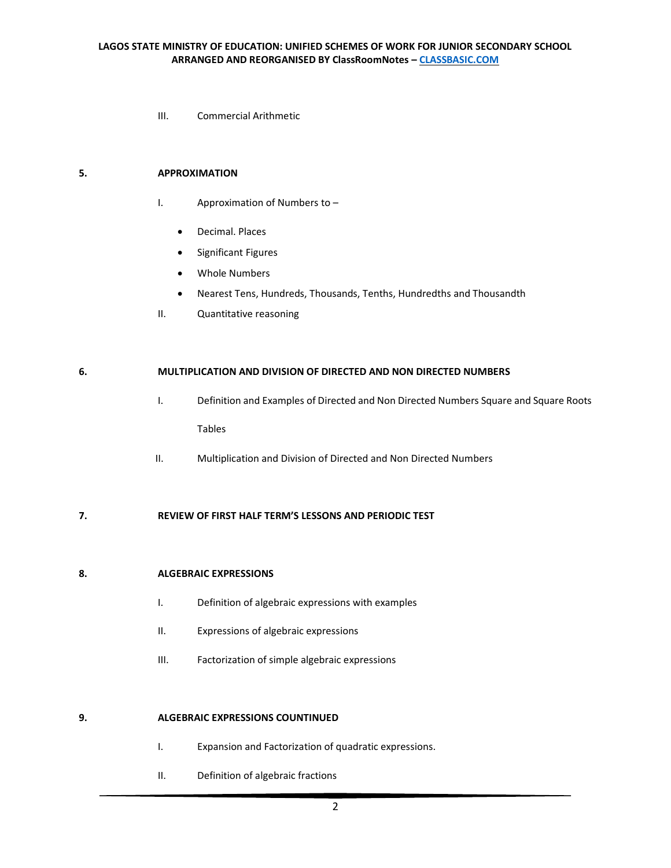III. Commercial Arithmetic

### **5. APPROXIMATION**

- I. Approximation of Numbers to
	- Decimal. Places
	- Significant Figures
	- Whole Numbers
	- Nearest Tens, Hundreds, Thousands, Tenths, Hundredths and Thousandth
- II. Quantitative reasoning

#### **6. MULTIPLICATION AND DIVISION OF DIRECTED AND NON DIRECTED NUMBERS**

- I. Definition and Examples of Directed and Non Directed Numbers Square and Square Roots Tables
- II. Multiplication and Division of Directed and Non Directed Numbers

## **7. REVIEW OF FIRST HALF TERM'S LESSONS AND PERIODIC TEST**

#### **8. ALGEBRAIC EXPRESSIONS**

- I. Definition of algebraic expressions with examples
- II. Expressions of algebraic expressions
- III. Factorization of simple algebraic expressions

#### **9. ALGEBRAIC EXPRESSIONS COUNTINUED**

- I. Expansion and Factorization of quadratic expressions.
- II. Definition of algebraic fractions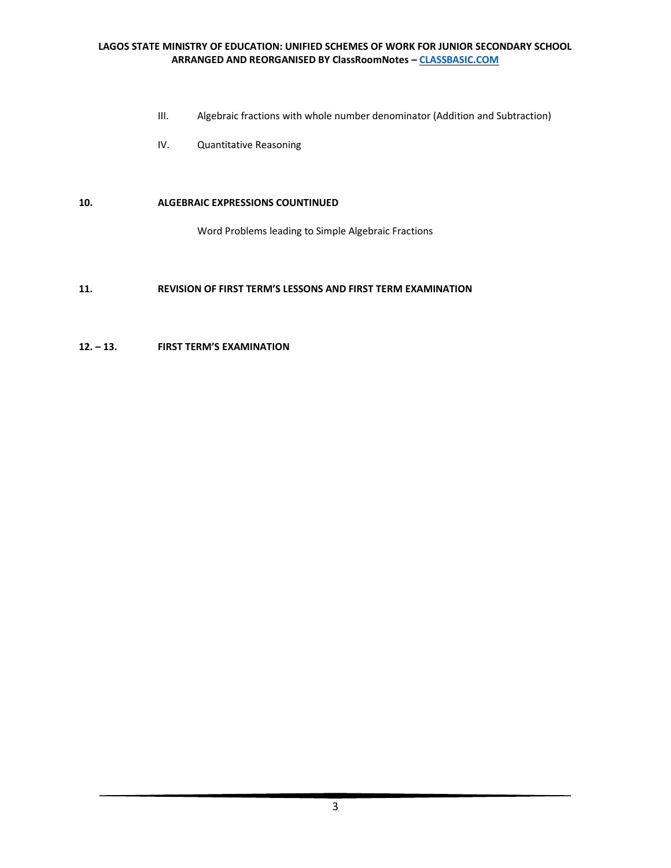### **LAGOS STATE MINISTRY OF EDUCATION: UNIFIED SCHEMES OF WORK FOR JUNIOR SECONDARY SCHOOL ARRANGED AND REORGANISED BY ClassRoomNotes – [CLASSBASIC.COM](http://classbasic.com/)**

- III. Algebraic fractions with whole number denominator (Addition and Subtraction)
- IV. Quantitative Reasoning

#### **10. ALGEBRAIC EXPRESSIONS COUNTINUED**

Word Problems leading to Simple Algebraic Fractions

## **11. REVISION OF FIRST TERM'S LESSONS AND FIRST TERM EXAMINATION**

#### **12. – 13. FIRST TERM'S EXAMINATION**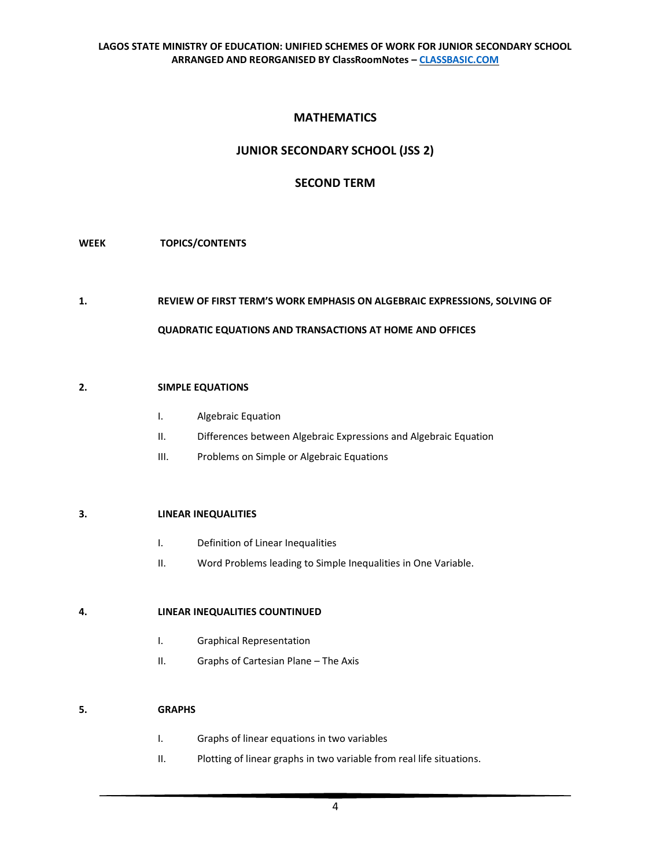# **MATHEMATICS**

# **JUNIOR SECONDARY SCHOOL (JSS 2)**

# **SECOND TERM**

### **WEEK TOPICS/CONTENTS**

### **1. REVIEW OF FIRST TERM'S WORK EMPHASIS ON ALGEBRAIC EXPRESSIONS, SOLVING OF**

#### **QUADRATIC EQUATIONS AND TRANSACTIONS AT HOME AND OFFICES**

#### **2. SIMPLE EQUATIONS**

- I. Algebraic Equation
- II. Differences between Algebraic Expressions and Algebraic Equation
- III. Problems on Simple or Algebraic Equations

#### **3. LINEAR INEQUALITIES**

- I. Definition of Linear Inequalities
- II. Word Problems leading to Simple Inequalities in One Variable.

### **4. LINEAR INEQUALITIES COUNTINUED**

- I. Graphical Representation
- II. Graphs of Cartesian Plane The Axis

#### **5. GRAPHS**

- I. Graphs of linear equations in two variables
- II. Plotting of linear graphs in two variable from real life situations.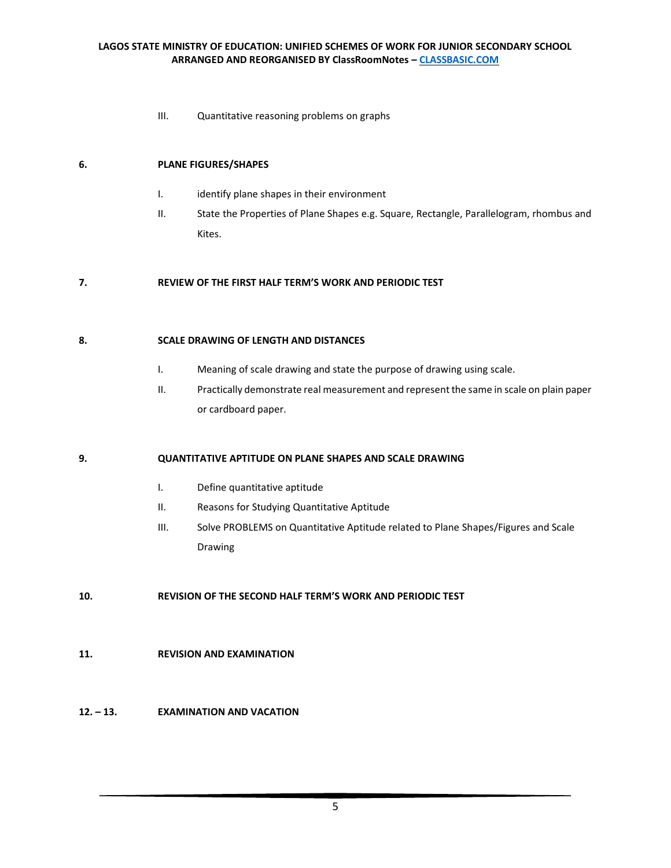#### **LAGOS STATE MINISTRY OF EDUCATION: UNIFIED SCHEMES OF WORK FOR JUNIOR SECONDARY SCHOOL ARRANGED AND REORGANISED BY ClassRoomNotes – [CLASSBASIC.COM](http://classbasic.com/)**

III. Quantitative reasoning problems on graphs

#### **6. PLANE FIGURES/SHAPES**

- I. identify plane shapes in their environment
- II. State the Properties of Plane Shapes e.g. Square, Rectangle, Parallelogram, rhombus and Kites.

#### **7. REVIEW OF THE FIRST HALF TERM'S WORK AND PERIODIC TEST**

#### **8. SCALE DRAWING OF LENGTH AND DISTANCES**

- I. Meaning of scale drawing and state the purpose of drawing using scale.
- II. Practically demonstrate real measurement and represent the same in scale on plain paper or cardboard paper.

#### **9. QUANTITATIVE APTITUDE ON PLANE SHAPES AND SCALE DRAWING**

- I. Define quantitative aptitude
- II. Reasons for Studying Quantitative Aptitude
- III. Solve PROBLEMS on Quantitative Aptitude related to Plane Shapes/Figures and Scale Drawing

### **10. REVISION OF THE SECOND HALF TERM'S WORK AND PERIODIC TEST**

#### **11. REVISION AND EXAMINATION**

### **12. – 13. EXAMINATION AND VACATION**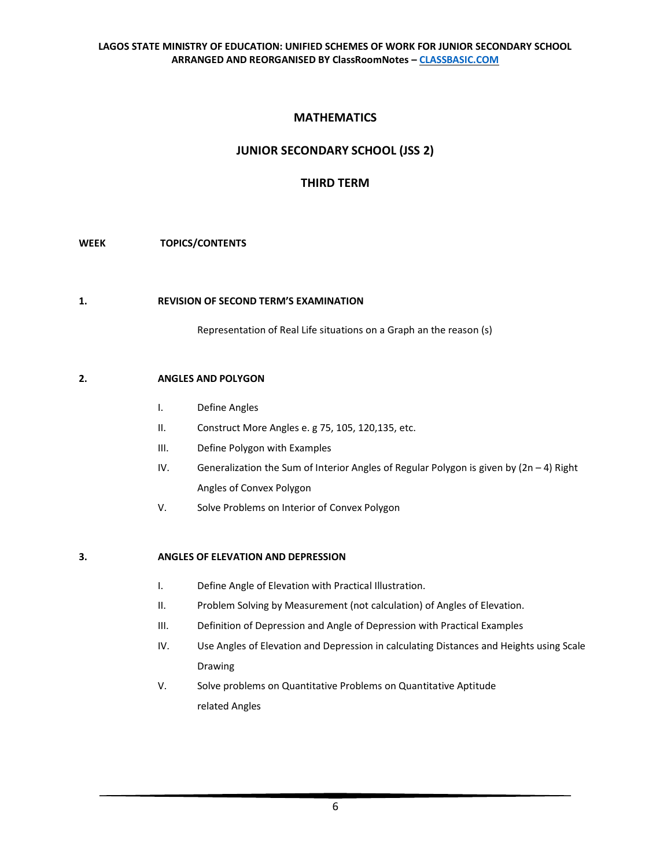# **MATHEMATICS**

# **JUNIOR SECONDARY SCHOOL (JSS 2)**

# **THIRD TERM**

### **WEEK TOPICS/CONTENTS**

#### **1. REVISION OF SECOND TERM'S EXAMINATION**

Representation of Real Life situations on a Graph an the reason (s)

### **2. ANGLES AND POLYGON**

- I. Define Angles
- II. Construct More Angles e. g 75, 105, 120,135, etc.
- III. Define Polygon with Examples
- IV. Generalization the Sum of Interior Angles of Regular Polygon is given by  $(2n 4)$  Right Angles of Convex Polygon
- V. Solve Problems on Interior of Convex Polygon

## **3. ANGLES OF ELEVATION AND DEPRESSION**

- I. Define Angle of Elevation with Practical Illustration.
- II. Problem Solving by Measurement (not calculation) of Angles of Elevation.
- III. Definition of Depression and Angle of Depression with Practical Examples
- IV. Use Angles of Elevation and Depression in calculating Distances and Heights using Scale Drawing
- V. Solve problems on Quantitative Problems on Quantitative Aptitude related Angles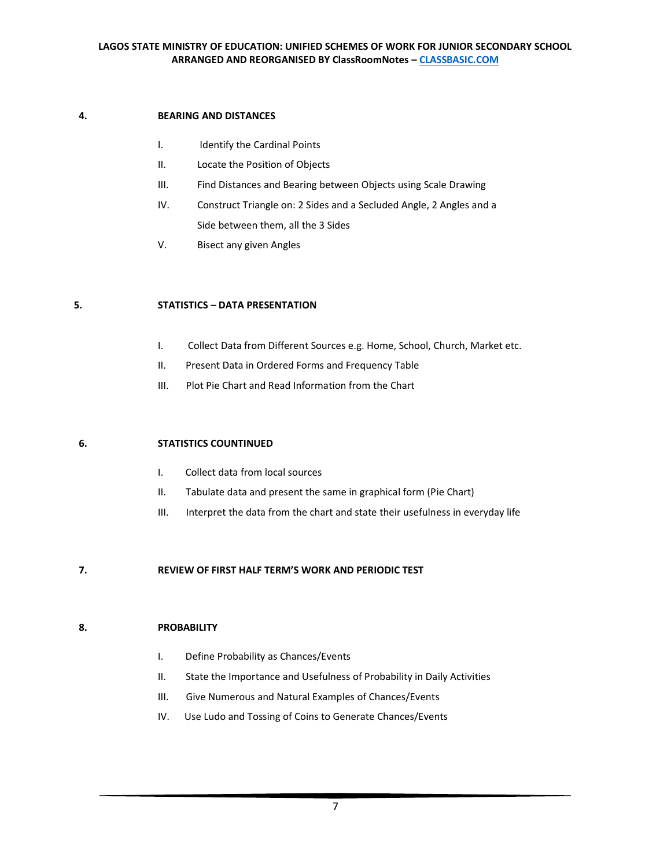#### **4. BEARING AND DISTANCES**

- I. Identify the Cardinal Points
- II. Locate the Position of Objects
- III. Find Distances and Bearing between Objects using Scale Drawing
- IV. Construct Triangle on: 2 Sides and a Secluded Angle, 2 Angles and a Side between them, all the 3 Sides
- V. Bisect any given Angles

#### **5. STATISTICS – DATA PRESENTATION**

- I. Collect Data from Different Sources e.g. Home, School, Church, Market etc.
- II. Present Data in Ordered Forms and Frequency Table
- III. Plot Pie Chart and Read Information from the Chart

#### **6. STATISTICS COUNTINUED**

- I. Collect data from local sources
- II. Tabulate data and present the same in graphical form (Pie Chart)
- III. Interpret the data from the chart and state their usefulness in everyday life

#### **7. REVIEW OF FIRST HALF TERM'S WORK AND PERIODIC TEST**

#### **8. PROBABILITY**

- I. Define Probability as Chances/Events
- II. State the Importance and Usefulness of Probability in Daily Activities
- III. Give Numerous and Natural Examples of Chances/Events
- IV. Use Ludo and Tossing of Coins to Generate Chances/Events